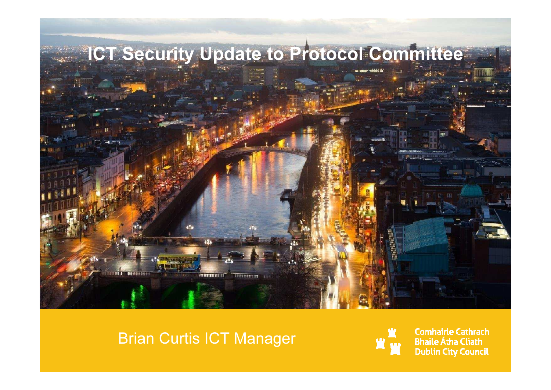

#### Brian Curtis ICT Manager



**Comhairle Cathrach Bhaile Átha Cliath Dublin City Council**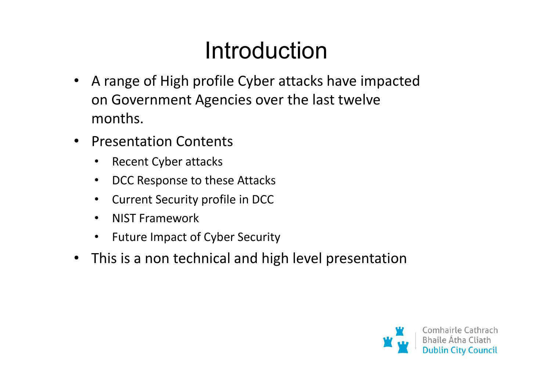#### Introduction

- $\bullet$  A range of High profile Cyber attacks have impacted on Government Agencies over the last twelve months.
- $\bullet$  Presentation Contents
	- •Recent Cyber attacks
	- $\bullet$ DCC Response to these Attacks
	- $\bullet$ Current Security profile in DCC
	- •NIST Framework
	- Future Impact of Cyber Security
- $\bullet$ This is a non technical and high level presentation

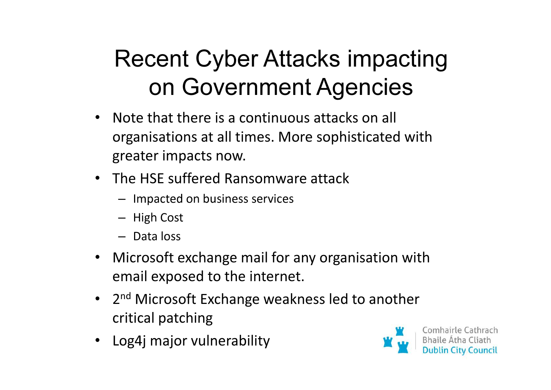## Recent Cyber Attacks impacting on Government Agencies

- • Note that there is a continuous attacks on all organisations at all times. More sophisticated with greater impacts now.
- The HSE suffered Ransomware attack
	- Impacted on business services
	- High Cost
	- Data loss
- Microsoft exchange mail for any organisation with email exposed to the internet.
- 2<sup>nd</sup> Microsoft Exchange weakness led to another critical patching
- Log4j major vulnerability

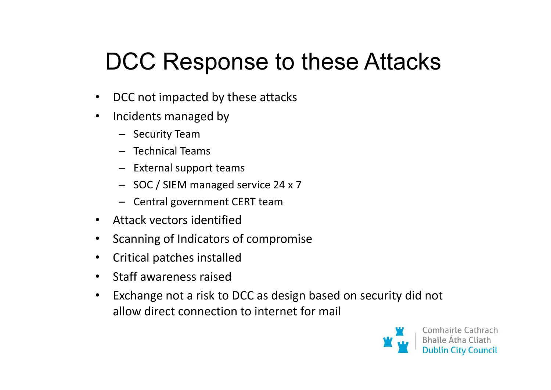#### DCC Response to these Attacks

- •DCC not impacted by these attacks
- $\bullet$  Incidents managed by
	- Security Team
	- Technical Teams
	- External support teams
	- SOC / SIEM managed service 24 x 7
	- Central government CERT team
- Attack vectors identified
- •Scanning of Indicators of compromise
- •Critical patches installed
- $\bullet$ Staff awareness raised
- $\bullet$  Exchange not a risk to DCC as design based on security did not allow direct connection to internet for mail

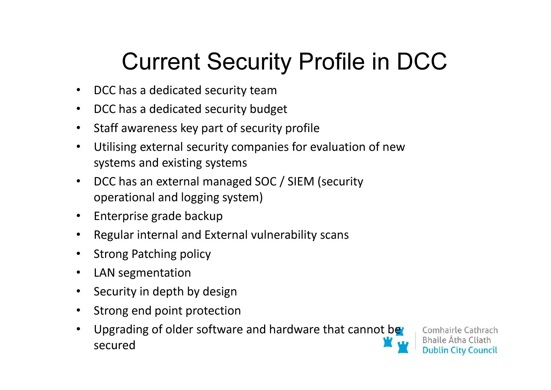## Current Security Profile in DCC

- $\bullet$ DCC has a dedicated security team
- DCC has a dedicated security budget •
- •Staff awareness key part of security profile
- • Utilising external security companies for evaluation of new systems and existing systems
- • DCC has an external managed SOC / SIEM (security operational and logging system)
- •Enterprise grade backup
- •Regular internal and External vulnerability scans
- •Strong Patching policy
- •LAN segmentation
- $\bullet$ Security in depth by design
- •Strong end point protection
- •Upgrading of older software and hardware that cannot be secured

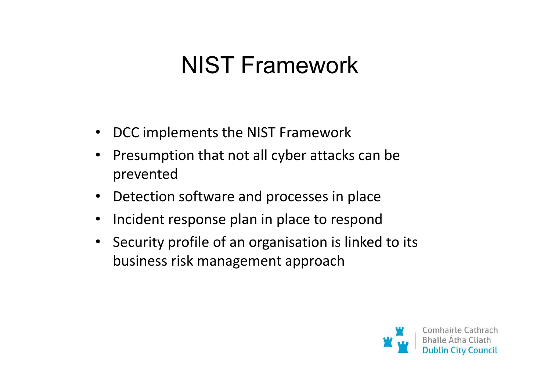#### NIST Framework

- •DCC implements the NIST Framework
- $\bullet$  Presumption that not all cyber attacks can be prevented
- $\bullet$ Detection software and processes in place
- •Incident response plan in place to respond
- Security profile of an organisation is linked to its business risk management approach